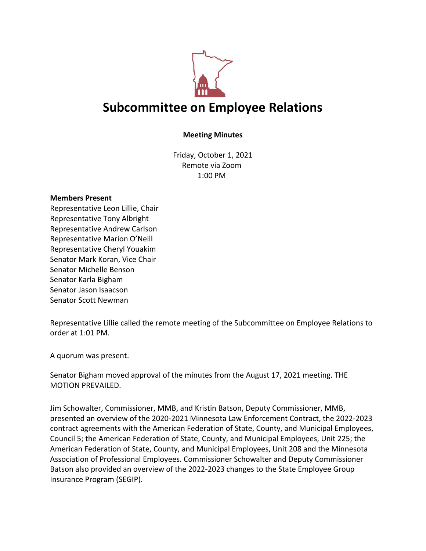

## **Subcommittee on Employee Relations**

## **Meeting Minutes**

Friday, October 1, 2021 Remote via Zoom 1:00 PM

## **Members Present**

Representative Leon Lillie, Chair Representative Tony Albright Representative Andrew Carlson Representative Marion O'Neill Representative Cheryl Youakim Senator Mark Koran, Vice Chair Senator Michelle Benson Senator Karla Bigham Senator Jason Isaacson Senator Scott Newman

Representative Lillie called the remote meeting of the Subcommittee on Employee Relations to order at 1:01 PM.

A quorum was present.

Senator Bigham moved approval of the minutes from the August 17, 2021 meeting. THE MOTION PREVAILED.

Jim Schowalter, Commissioner, MMB, and Kristin Batson, Deputy Commissioner, MMB, presented an overview of the 2020-2021 Minnesota Law Enforcement Contract, the 2022-2023 contract agreements with the American Federation of State, County, and Municipal Employees, Council 5; the American Federation of State, County, and Municipal Employees, Unit 225; the American Federation of State, County, and Municipal Employees, Unit 208 and the Minnesota Association of Professional Employees. Commissioner Schowalter and Deputy Commissioner Batson also provided an overview of the 2022-2023 changes to the State Employee Group Insurance Program (SEGIP).